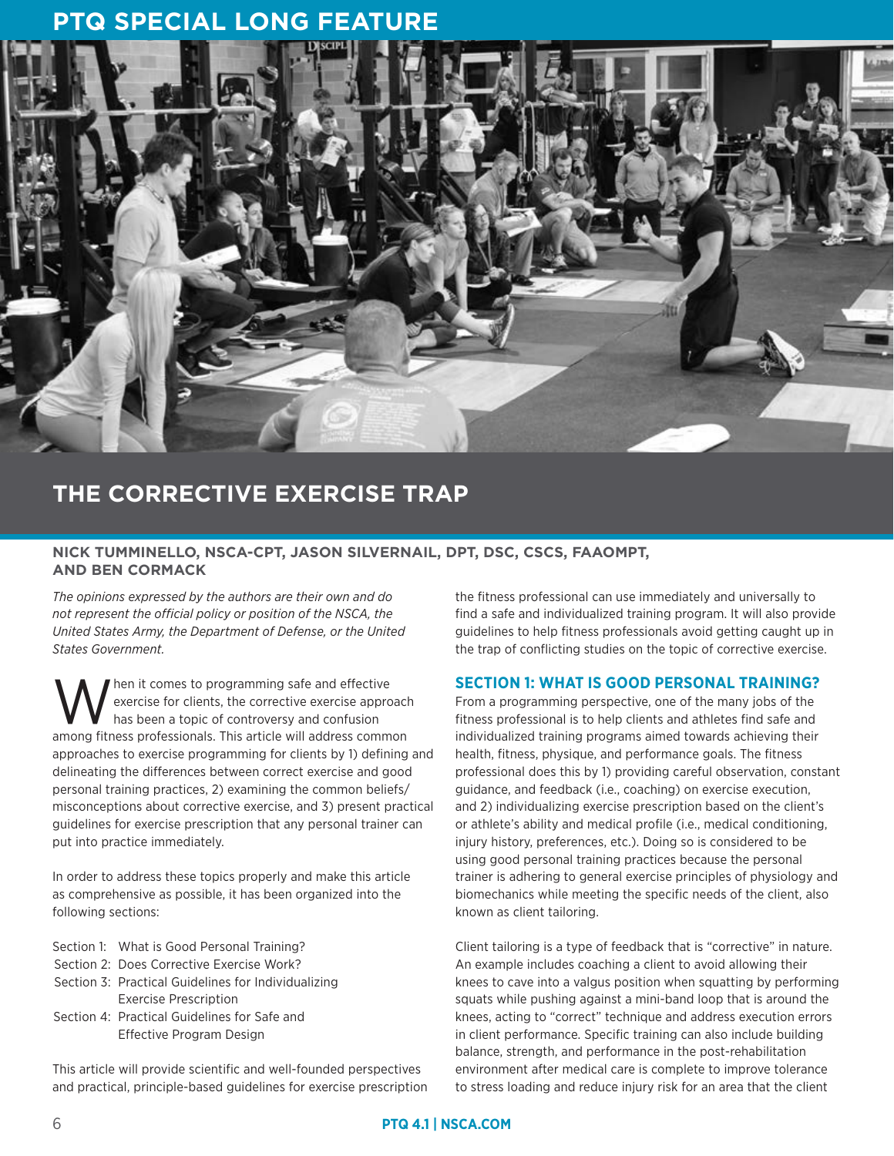# **PTQ SPECIAL LONG FEATURE**



# **THE CORRECTIVE EXERCISE TRAP**

# **NICK TUMMINELLO, NSCA-CPT, JASON SILVERNAIL, DPT, DSC, CSCS, FAAOMPT, AND BEN CORMACK**

*The opinions expressed by the authors are their own and do not represent the official policy or position of the NSCA, the United States Army, the Department of Defense, or the United States Government.*

hen it comes to programming safe and effective exercise for clients, the corrective exercise approach has been a topic of controversy and confusion among fitness professionals. This article will address common approaches to exercise programming for clients by 1) defining and delineating the differences between correct exercise and good personal training practices, 2) examining the common beliefs/ misconceptions about corrective exercise, and 3) present practical guidelines for exercise prescription that any personal trainer can put into practice immediately.

In order to address these topics properly and make this article as comprehensive as possible, it has been organized into the following sections:

- Section 1: What is Good Personal Training?
- Section 2: Does Corrective Exercise Work?
- Section 3: Practical Guidelines for Individualizing Exercise Prescription
- Section 4: Practical Guidelines for Safe and Effective Program Design

This article will provide scientific and well-founded perspectives and practical, principle-based guidelines for exercise prescription the fitness professional can use immediately and universally to find a safe and individualized training program. It will also provide guidelines to help fitness professionals avoid getting caught up in the trap of conflicting studies on the topic of corrective exercise.

# **SECTION 1: WHAT IS GOOD PERSONAL TRAINING?**

From a programming perspective, one of the many jobs of the fitness professional is to help clients and athletes find safe and individualized training programs aimed towards achieving their health, fitness, physique, and performance goals. The fitness professional does this by 1) providing careful observation, constant guidance, and feedback (i.e., coaching) on exercise execution, and 2) individualizing exercise prescription based on the client's or athlete's ability and medical profile (i.e., medical conditioning, injury history, preferences, etc.). Doing so is considered to be using good personal training practices because the personal trainer is adhering to general exercise principles of physiology and biomechanics while meeting the specific needs of the client, also known as client tailoring.

Client tailoring is a type of feedback that is "corrective" in nature. An example includes coaching a client to avoid allowing their knees to cave into a valgus position when squatting by performing squats while pushing against a mini-band loop that is around the knees, acting to "correct" technique and address execution errors in client performance. Specific training can also include building balance, strength, and performance in the post-rehabilitation environment after medical care is complete to improve tolerance to stress loading and reduce injury risk for an area that the client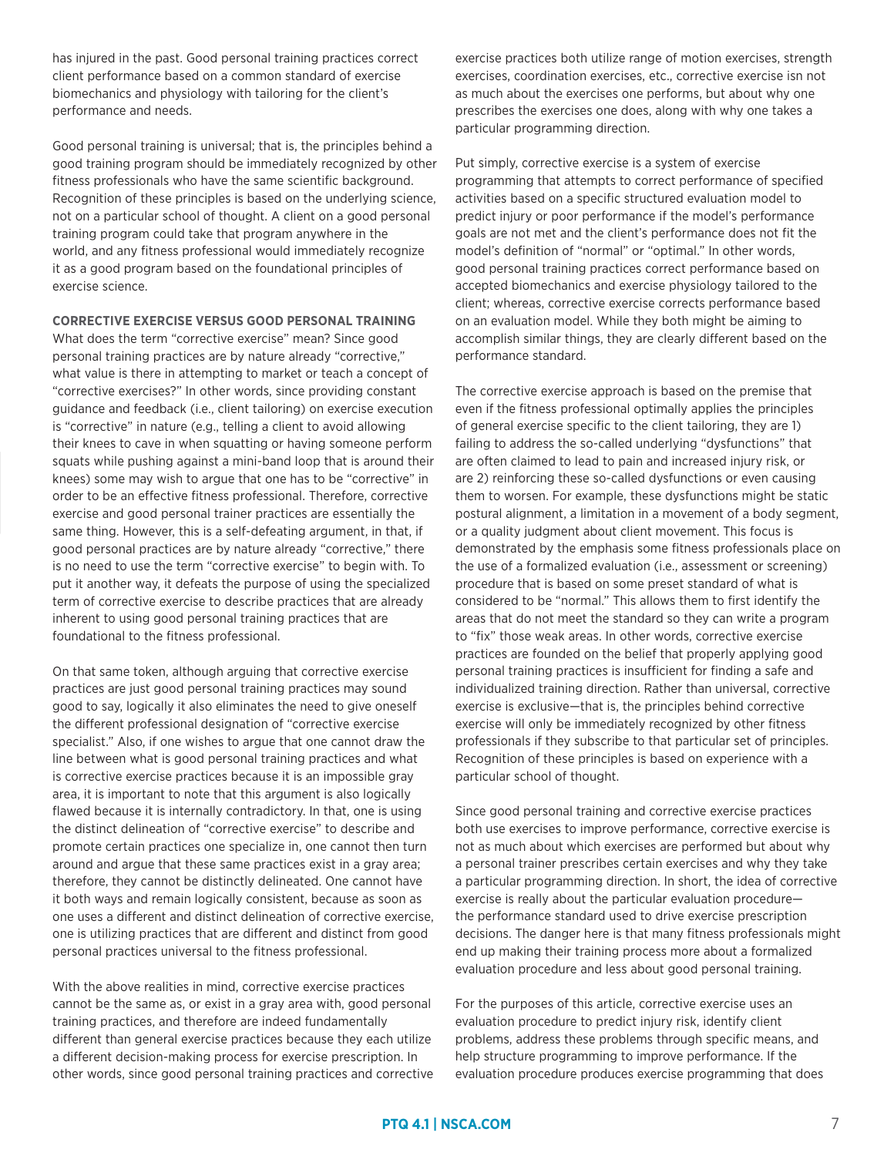has injured in the past. Good personal training practices correct client performance based on a common standard of exercise biomechanics and physiology with tailoring for the client's performance and needs.

Good personal training is universal; that is, the principles behind a good training program should be immediately recognized by other fitness professionals who have the same scientific background. Recognition of these principles is based on the underlying science, not on a particular school of thought. A client on a good personal training program could take that program anywhere in the world, and any fitness professional would immediately recognize it as a good program based on the foundational principles of exercise science.

**CORRECTIVE EXERCISE VERSUS GOOD PERSONAL TRAINING**

What does the term "corrective exercise" mean? Since good personal training practices are by nature already "corrective," what value is there in attempting to market or teach a concept of "corrective exercises?" In other words, since providing constant guidance and feedback (i.e., client tailoring) on exercise execution is "corrective" in nature (e.g., telling a client to avoid allowing their knees to cave in when squatting or having someone perform squats while pushing against a mini-band loop that is around their knees) some may wish to argue that one has to be "corrective" in order to be an effective fitness professional. Therefore, corrective exercise and good personal trainer practices are essentially the same thing. However, this is a self-defeating argument, in that, if good personal practices are by nature already "corrective," there is no need to use the term "corrective exercise" to begin with. To put it another way, it defeats the purpose of using the specialized term of corrective exercise to describe practices that are already inherent to using good personal training practices that are foundational to the fitness professional.

On that same token, although arguing that corrective exercise practices are just good personal training practices may sound good to say, logically it also eliminates the need to give oneself the different professional designation of "corrective exercise specialist." Also, if one wishes to argue that one cannot draw the line between what is good personal training practices and what is corrective exercise practices because it is an impossible gray area, it is important to note that this argument is also logically flawed because it is internally contradictory. In that, one is using the distinct delineation of "corrective exercise" to describe and promote certain practices one specialize in, one cannot then turn around and argue that these same practices exist in a gray area; therefore, they cannot be distinctly delineated. One cannot have it both ways and remain logically consistent, because as soon as one uses a different and distinct delineation of corrective exercise, one is utilizing practices that are different and distinct from good personal practices universal to the fitness professional.

With the above realities in mind, corrective exercise practices cannot be the same as, or exist in a gray area with, good personal training practices, and therefore are indeed fundamentally different than general exercise practices because they each utilize a different decision-making process for exercise prescription. In other words, since good personal training practices and corrective exercise practices both utilize range of motion exercises, strength exercises, coordination exercises, etc., corrective exercise isn not as much about the exercises one performs, but about why one prescribes the exercises one does, along with why one takes a particular programming direction.

Put simply, corrective exercise is a system of exercise programming that attempts to correct performance of specified activities based on a specific structured evaluation model to predict injury or poor performance if the model's performance goals are not met and the client's performance does not fit the model's definition of "normal" or "optimal." In other words, good personal training practices correct performance based on accepted biomechanics and exercise physiology tailored to the client; whereas, corrective exercise corrects performance based on an evaluation model. While they both might be aiming to accomplish similar things, they are clearly different based on the performance standard.

The corrective exercise approach is based on the premise that even if the fitness professional optimally applies the principles of general exercise specific to the client tailoring, they are 1) failing to address the so-called underlying "dysfunctions" that are often claimed to lead to pain and increased injury risk, or are 2) reinforcing these so-called dysfunctions or even causing them to worsen. For example, these dysfunctions might be static postural alignment, a limitation in a movement of a body segment, or a quality judgment about client movement. This focus is demonstrated by the emphasis some fitness professionals place on the use of a formalized evaluation (i.e., assessment or screening) procedure that is based on some preset standard of what is considered to be "normal." This allows them to first identify the areas that do not meet the standard so they can write a program to "fix" those weak areas. In other words, corrective exercise practices are founded on the belief that properly applying good personal training practices is insufficient for finding a safe and individualized training direction. Rather than universal, corrective exercise is exclusive—that is, the principles behind corrective exercise will only be immediately recognized by other fitness professionals if they subscribe to that particular set of principles. Recognition of these principles is based on experience with a particular school of thought.

Since good personal training and corrective exercise practices both use exercises to improve performance, corrective exercise is not as much about which exercises are performed but about why a personal trainer prescribes certain exercises and why they take a particular programming direction. In short, the idea of corrective exercise is really about the particular evaluation procedure the performance standard used to drive exercise prescription decisions. The danger here is that many fitness professionals might end up making their training process more about a formalized evaluation procedure and less about good personal training.

For the purposes of this article, corrective exercise uses an evaluation procedure to predict injury risk, identify client problems, address these problems through specific means, and help structure programming to improve performance. If the evaluation procedure produces exercise programming that does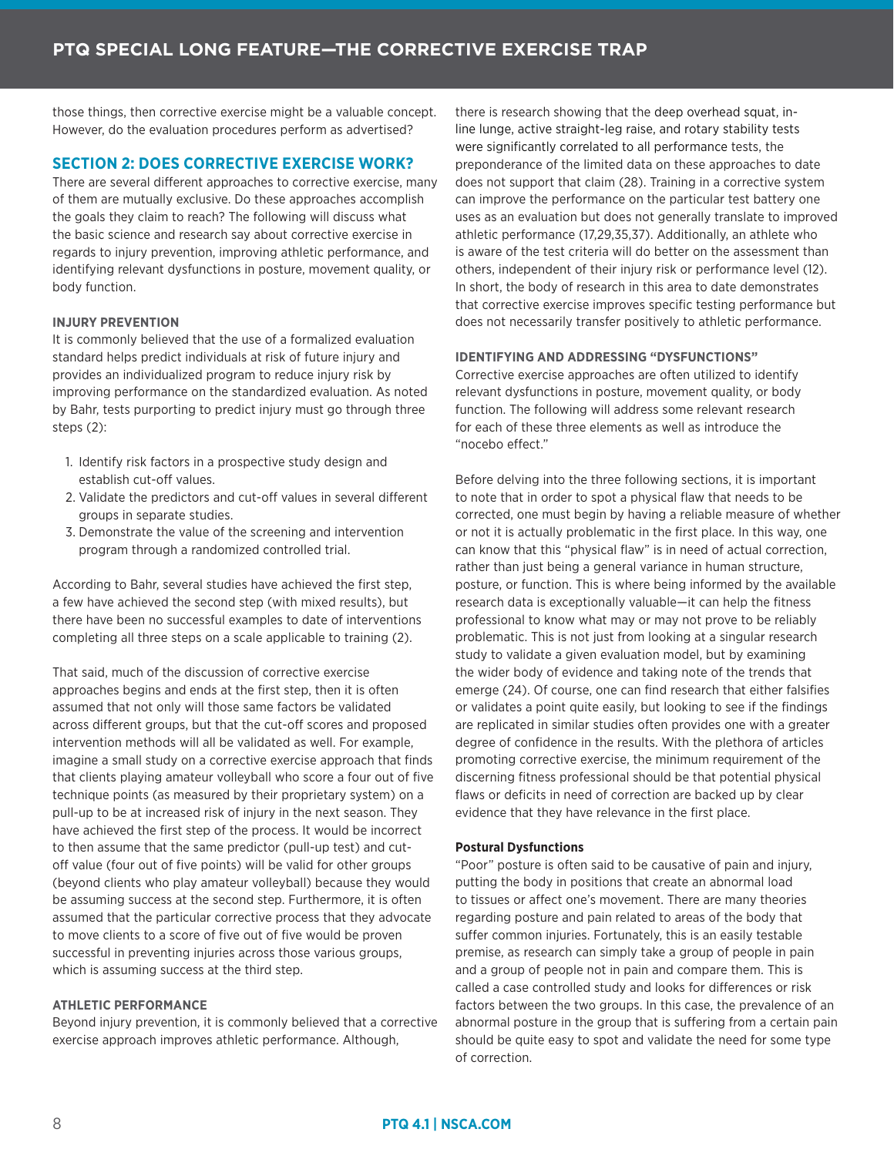those things, then corrective exercise might be a valuable concept. However, do the evaluation procedures perform as advertised?

# **SECTION 2: DOES CORRECTIVE EXERCISE WORK?**

There are several different approaches to corrective exercise, many of them are mutually exclusive. Do these approaches accomplish the goals they claim to reach? The following will discuss what the basic science and research say about corrective exercise in regards to injury prevention, improving athletic performance, and identifying relevant dysfunctions in posture, movement quality, or body function.

## **INJURY PREVENTION**

It is commonly believed that the use of a formalized evaluation standard helps predict individuals at risk of future injury and provides an individualized program to reduce injury risk by improving performance on the standardized evaluation. As noted by Bahr, tests purporting to predict injury must go through three steps (2):

- 1. Identify risk factors in a prospective study design and establish cut-off values.
- 2. Validate the predictors and cut-off values in several different groups in separate studies.
- 3. Demonstrate the value of the screening and intervention program through a randomized controlled trial.

According to Bahr, several studies have achieved the first step, a few have achieved the second step (with mixed results), but there have been no successful examples to date of interventions completing all three steps on a scale applicable to training (2).

That said, much of the discussion of corrective exercise approaches begins and ends at the first step, then it is often assumed that not only will those same factors be validated across different groups, but that the cut-off scores and proposed intervention methods will all be validated as well. For example, imagine a small study on a corrective exercise approach that finds that clients playing amateur volleyball who score a four out of five technique points (as measured by their proprietary system) on a pull-up to be at increased risk of injury in the next season. They have achieved the first step of the process. It would be incorrect to then assume that the same predictor (pull-up test) and cutoff value (four out of five points) will be valid for other groups (beyond clients who play amateur volleyball) because they would be assuming success at the second step. Furthermore, it is often assumed that the particular corrective process that they advocate to move clients to a score of five out of five would be proven successful in preventing injuries across those various groups, which is assuming success at the third step.

## **ATHLETIC PERFORMANCE**

Beyond injury prevention, it is commonly believed that a corrective exercise approach improves athletic performance. Although,

there is research showing that the deep overhead squat, inline lunge, active straight-leg raise, and rotary stability tests were significantly correlated to all performance tests, the preponderance of the limited data on these approaches to date does not support that claim (28). Training in a corrective system can improve the performance on the particular test battery one uses as an evaluation but does not generally translate to improved athletic performance (17,29,35,37). Additionally, an athlete who is aware of the test criteria will do better on the assessment than others, independent of their injury risk or performance level (12). In short, the body of research in this area to date demonstrates that corrective exercise improves specific testing performance but does not necessarily transfer positively to athletic performance.

# **IDENTIFYING AND ADDRESSING "DYSFUNCTIONS"**

Corrective exercise approaches are often utilized to identify relevant dysfunctions in posture, movement quality, or body function. The following will address some relevant research for each of these three elements as well as introduce the "nocebo effect."

Before delving into the three following sections, it is important to note that in order to spot a physical flaw that needs to be corrected, one must begin by having a reliable measure of whether or not it is actually problematic in the first place. In this way, one can know that this "physical flaw" is in need of actual correction, rather than just being a general variance in human structure, posture, or function. This is where being informed by the available research data is exceptionally valuable—it can help the fitness professional to know what may or may not prove to be reliably problematic. This is not just from looking at a singular research study to validate a given evaluation model, but by examining the wider body of evidence and taking note of the trends that emerge (24). Of course, one can find research that either falsifies or validates a point quite easily, but looking to see if the findings are replicated in similar studies often provides one with a greater degree of confidence in the results. With the plethora of articles promoting corrective exercise, the minimum requirement of the discerning fitness professional should be that potential physical flaws or deficits in need of correction are backed up by clear evidence that they have relevance in the first place.

## **Postural Dysfunctions**

"Poor" posture is often said to be causative of pain and injury, putting the body in positions that create an abnormal load to tissues or affect one's movement. There are many theories regarding posture and pain related to areas of the body that suffer common injuries. Fortunately, this is an easily testable premise, as research can simply take a group of people in pain and a group of people not in pain and compare them. This is called a case controlled study and looks for differences or risk factors between the two groups. In this case, the prevalence of an abnormal posture in the group that is suffering from a certain pain should be quite easy to spot and validate the need for some type of correction.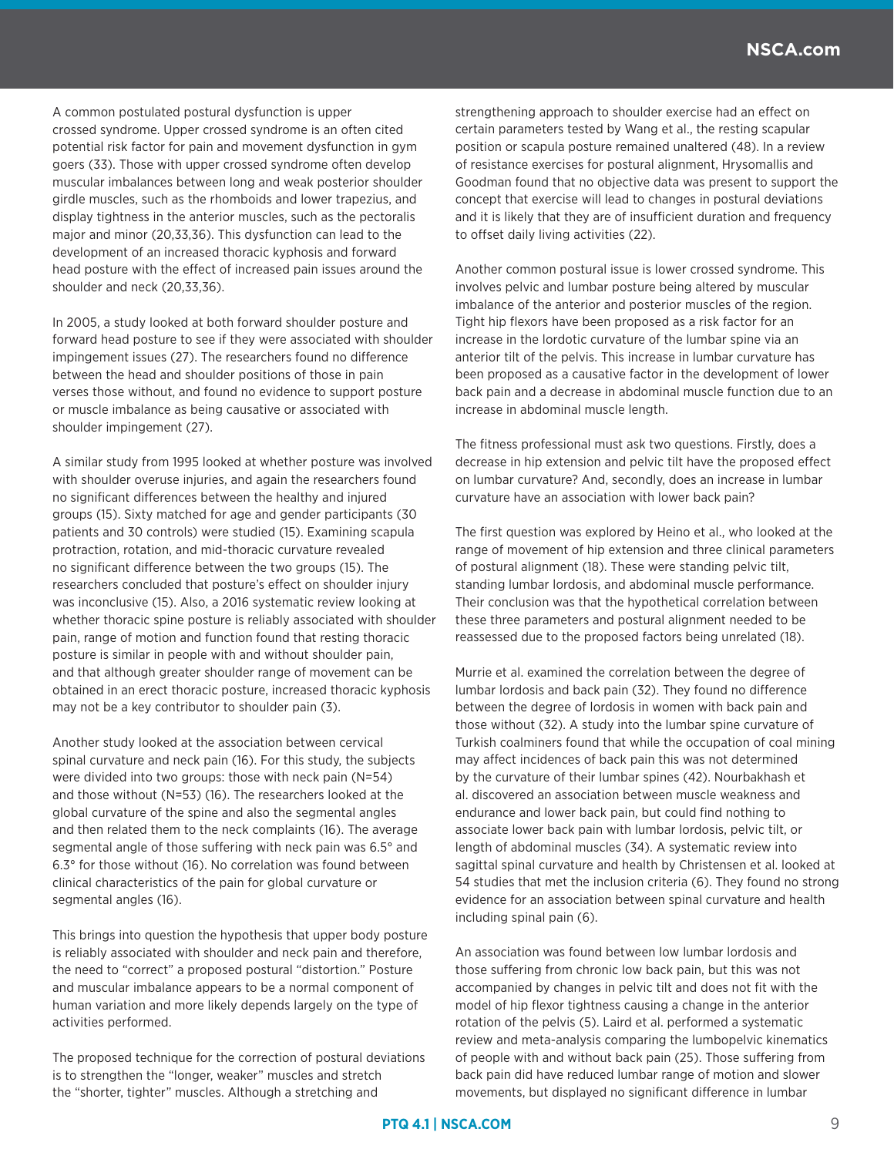A common postulated postural dysfunction is upper crossed syndrome. Upper crossed syndrome is an often cited potential risk factor for pain and movement dysfunction in gym goers (33). Those with upper crossed syndrome often develop muscular imbalances between long and weak posterior shoulder girdle muscles, such as the rhomboids and lower trapezius, and display tightness in the anterior muscles, such as the pectoralis major and minor (20,33,36). This dysfunction can lead to the development of an increased thoracic kyphosis and forward head posture with the effect of increased pain issues around the shoulder and neck (20,33,36).

In 2005, a study looked at both forward shoulder posture and forward head posture to see if they were associated with shoulder impingement issues (27). The researchers found no difference between the head and shoulder positions of those in pain verses those without, and found no evidence to support posture or muscle imbalance as being causative or associated with shoulder impingement (27).

A similar study from 1995 looked at whether posture was involved with shoulder overuse injuries, and again the researchers found no significant differences between the healthy and injured groups (15). Sixty matched for age and gender participants (30 patients and 30 controls) were studied (15). Examining scapula protraction, rotation, and mid-thoracic curvature revealed no significant difference between the two groups (15). The researchers concluded that posture's effect on shoulder injury was inconclusive (15). Also, a 2016 systematic review looking at whether thoracic spine posture is reliably associated with shoulder pain, range of motion and function found that resting thoracic posture is similar in people with and without shoulder pain, and that although greater shoulder range of movement can be obtained in an erect thoracic posture, increased thoracic kyphosis may not be a key contributor to shoulder pain (3).

Another study looked at the association between cervical spinal curvature and neck pain (16). For this study, the subjects were divided into two groups: those with neck pain (N=54) and those without (N=53) (16). The researchers looked at the global curvature of the spine and also the segmental angles and then related them to the neck complaints (16). The average segmental angle of those suffering with neck pain was 6.5° and 6.3° for those without (16). No correlation was found between clinical characteristics of the pain for global curvature or segmental angles (16).

This brings into question the hypothesis that upper body posture is reliably associated with shoulder and neck pain and therefore, the need to "correct" a proposed postural "distortion." Posture and muscular imbalance appears to be a normal component of human variation and more likely depends largely on the type of activities performed.

The proposed technique for the correction of postural deviations is to strengthen the "longer, weaker" muscles and stretch the "shorter, tighter" muscles. Although a stretching and

strengthening approach to shoulder exercise had an effect on certain parameters tested by Wang et al., the resting scapular position or scapula posture remained unaltered (48). In a review of resistance exercises for postural alignment, Hrysomallis and Goodman found that no objective data was present to support the concept that exercise will lead to changes in postural deviations and it is likely that they are of insufficient duration and frequency to offset daily living activities (22).

Another common postural issue is lower crossed syndrome. This involves pelvic and lumbar posture being altered by muscular imbalance of the anterior and posterior muscles of the region. Tight hip flexors have been proposed as a risk factor for an increase in the lordotic curvature of the lumbar spine via an anterior tilt of the pelvis. This increase in lumbar curvature has been proposed as a causative factor in the development of lower back pain and a decrease in abdominal muscle function due to an increase in abdominal muscle length.

The fitness professional must ask two questions. Firstly, does a decrease in hip extension and pelvic tilt have the proposed effect on lumbar curvature? And, secondly, does an increase in lumbar curvature have an association with lower back pain?

The first question was explored by Heino et al., who looked at the range of movement of hip extension and three clinical parameters of postural alignment (18). These were standing pelvic tilt, standing lumbar lordosis, and abdominal muscle performance. Their conclusion was that the hypothetical correlation between these three parameters and postural alignment needed to be reassessed due to the proposed factors being unrelated (18).

Murrie et al. examined the correlation between the degree of lumbar lordosis and back pain (32). They found no difference between the degree of lordosis in women with back pain and those without (32). A study into the lumbar spine curvature of Turkish coalminers found that while the occupation of coal mining may affect incidences of back pain this was not determined by the curvature of their lumbar spines (42). Nourbakhash et al. discovered an association between muscle weakness and endurance and lower back pain, but could find nothing to associate lower back pain with lumbar lordosis, pelvic tilt, or length of abdominal muscles (34). A systematic review into sagittal spinal curvature and health by Christensen et al. looked at 54 studies that met the inclusion criteria (6). They found no strong evidence for an association between spinal curvature and health including spinal pain (6).

An association was found between low lumbar lordosis and those suffering from chronic low back pain, but this was not accompanied by changes in pelvic tilt and does not fit with the model of hip flexor tightness causing a change in the anterior rotation of the pelvis (5). Laird et al. performed a systematic review and meta-analysis comparing the lumbopelvic kinematics of people with and without back pain (25). Those suffering from back pain did have reduced lumbar range of motion and slower movements, but displayed no significant difference in lumbar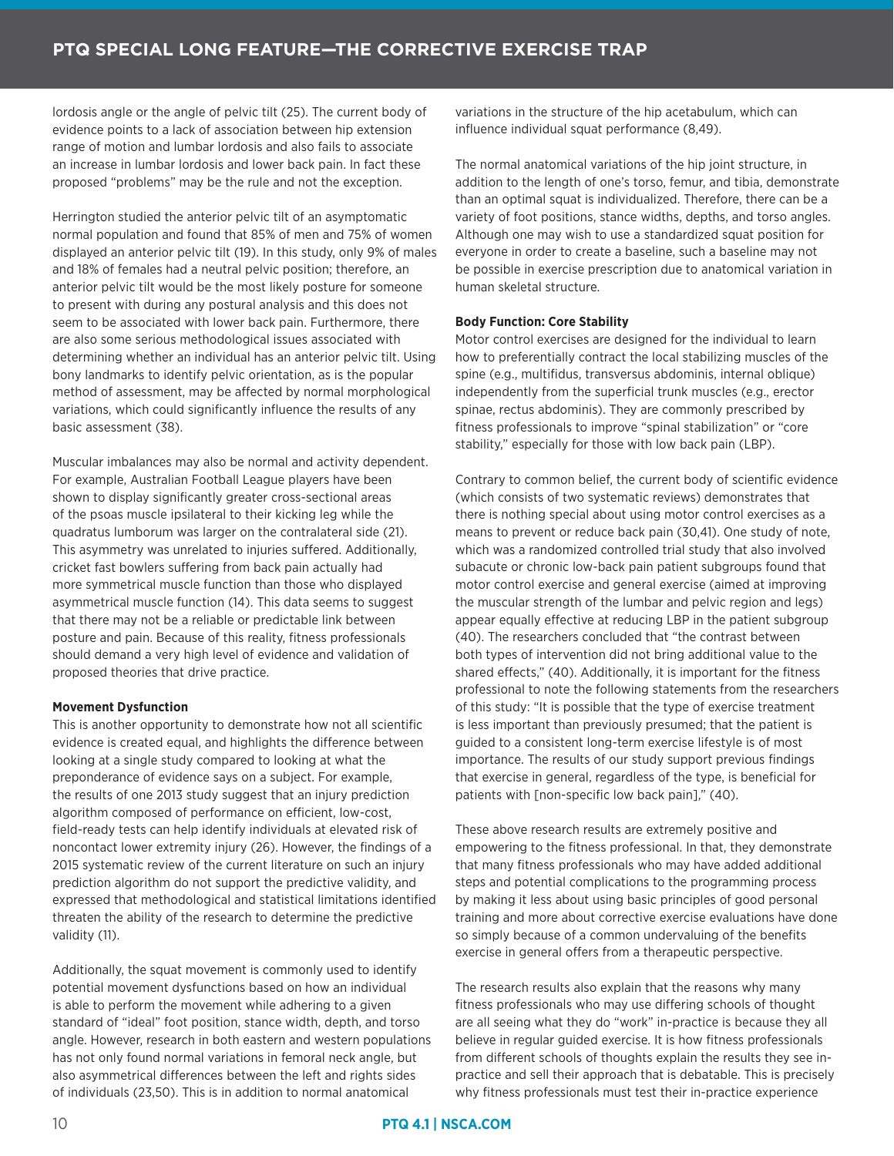lordosis angle or the angle of pelvic tilt (25). The current body of evidence points to a lack of association between hip extension range of motion and lumbar lordosis and also fails to associate an increase in lumbar lordosis and lower back pain. In fact these proposed "problems" may be the rule and not the exception.

Herrington studied the anterior pelvic tilt of an asymptomatic normal population and found that 85% of men and 75% of women displayed an anterior pelvic tilt (19). In this study, only 9% of males and 18% of females had a neutral pelvic position; therefore, an anterior pelvic tilt would be the most likely posture for someone to present with during any postural analysis and this does not seem to be associated with lower back pain. Furthermore, there are also some serious methodological issues associated with determining whether an individual has an anterior pelvic tilt. Using bony landmarks to identify pelvic orientation, as is the popular method of assessment, may be affected by normal morphological variations, which could significantly influence the results of any basic assessment (38).

Muscular imbalances may also be normal and activity dependent. For example, Australian Football League players have been shown to display significantly greater cross-sectional areas of the psoas muscle ipsilateral to their kicking leg while the quadratus lumborum was larger on the contralateral side (21). This asymmetry was unrelated to injuries suffered. Additionally, cricket fast bowlers suffering from back pain actually had more symmetrical muscle function than those who displayed asymmetrical muscle function (14). This data seems to suggest that there may not be a reliable or predictable link between posture and pain. Because of this reality, fitness professionals should demand a very high level of evidence and validation of proposed theories that drive practice.

## **Movement Dysfunction**

This is another opportunity to demonstrate how not all scientific evidence is created equal, and highlights the difference between looking at a single study compared to looking at what the preponderance of evidence says on a subject. For example, the results of one 2013 study suggest that an injury prediction algorithm composed of performance on efficient, low-cost, field-ready tests can help identify individuals at elevated risk of noncontact lower extremity injury (26). However, the findings of a 2015 systematic review of the current literature on such an injury prediction algorithm do not support the predictive validity, and expressed that methodological and statistical limitations identified threaten the ability of the research to determine the predictive validity (11).

Additionally, the squat movement is commonly used to identify potential movement dysfunctions based on how an individual is able to perform the movement while adhering to a given standard of "ideal" foot position, stance width, depth, and torso angle. However, research in both eastern and western populations has not only found normal variations in femoral neck angle, but also asymmetrical differences between the left and rights sides of individuals (23,50). This is in addition to normal anatomical

variations in the structure of the hip acetabulum, which can influence individual squat performance (8,49).

The normal anatomical variations of the hip joint structure, in addition to the length of one's torso, femur, and tibia, demonstrate than an optimal squat is individualized. Therefore, there can be a variety of foot positions, stance widths, depths, and torso angles. Although one may wish to use a standardized squat position for everyone in order to create a baseline, such a baseline may not be possible in exercise prescription due to anatomical variation in human skeletal structure.

## **Body Function: Core Stability**

Motor control exercises are designed for the individual to learn how to preferentially contract the local stabilizing muscles of the spine (e.g., multifidus, transversus abdominis, internal oblique) independently from the superficial trunk muscles (e.g., erector spinae, rectus abdominis). They are commonly prescribed by fitness professionals to improve "spinal stabilization" or "core stability," especially for those with low back pain (LBP).

Contrary to common belief, the current body of scientific evidence (which consists of two systematic reviews) demonstrates that there is nothing special about using motor control exercises as a means to prevent or reduce back pain (30,41). One study of note, which was a randomized controlled trial study that also involved subacute or chronic low-back pain patient subgroups found that motor control exercise and general exercise (aimed at improving the muscular strength of the lumbar and pelvic region and legs) appear equally effective at reducing LBP in the patient subgroup (40). The researchers concluded that "the contrast between both types of intervention did not bring additional value to the shared effects," (40). Additionally, it is important for the fitness professional to note the following statements from the researchers of this study: "It is possible that the type of exercise treatment is less important than previously presumed; that the patient is guided to a consistent long-term exercise lifestyle is of most importance. The results of our study support previous findings that exercise in general, regardless of the type, is beneficial for patients with [non-specific low back pain]," (40).

These above research results are extremely positive and empowering to the fitness professional. In that, they demonstrate that many fitness professionals who may have added additional steps and potential complications to the programming process by making it less about using basic principles of good personal training and more about corrective exercise evaluations have done so simply because of a common undervaluing of the benefits exercise in general offers from a therapeutic perspective.

The research results also explain that the reasons why many fitness professionals who may use differing schools of thought are all seeing what they do "work" in-practice is because they all believe in regular guided exercise. It is how fitness professionals from different schools of thoughts explain the results they see inpractice and sell their approach that is debatable. This is precisely why fitness professionals must test their in-practice experience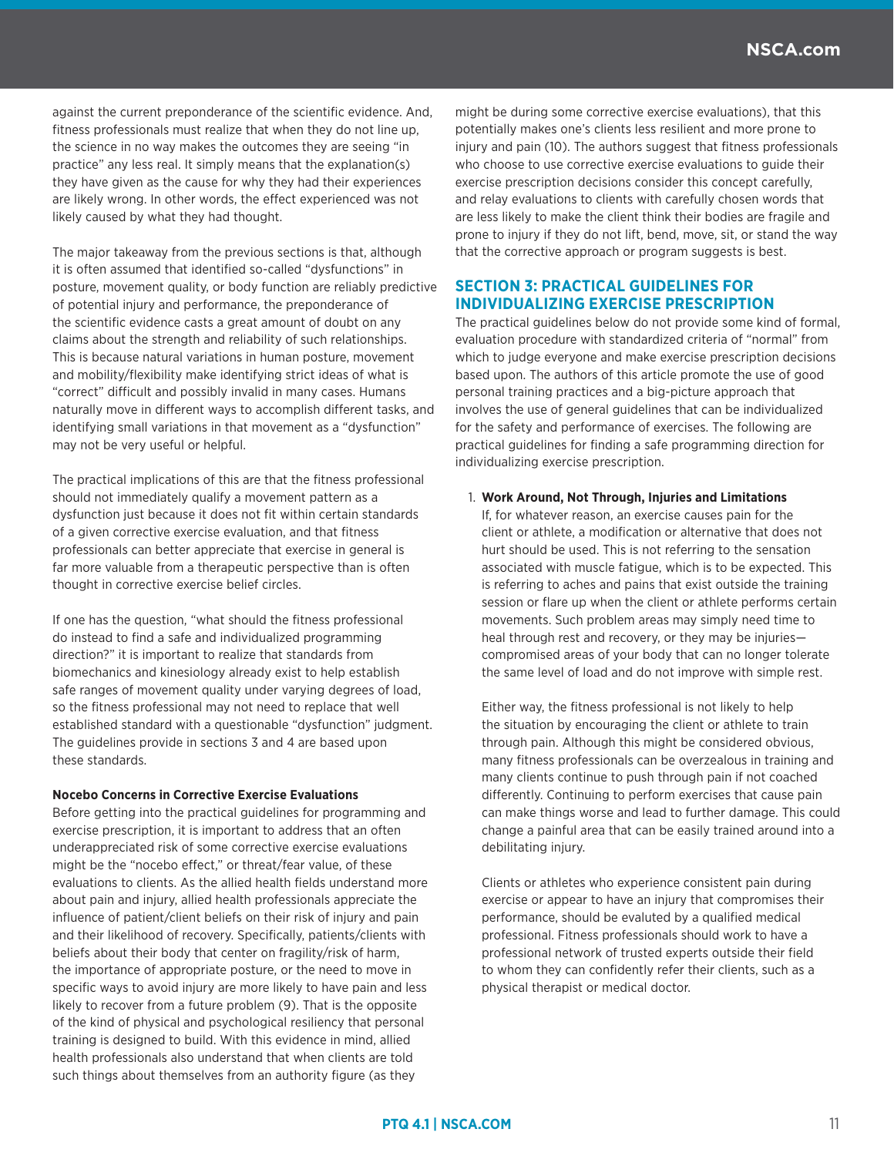against the current preponderance of the scientific evidence. And, fitness professionals must realize that when they do not line up, the science in no way makes the outcomes they are seeing "in practice" any less real. It simply means that the explanation(s) they have given as the cause for why they had their experiences are likely wrong. In other words, the effect experienced was not likely caused by what they had thought.

The major takeaway from the previous sections is that, although it is often assumed that identified so-called "dysfunctions" in posture, movement quality, or body function are reliably predictive of potential injury and performance, the preponderance of the scientific evidence casts a great amount of doubt on any claims about the strength and reliability of such relationships. This is because natural variations in human posture, movement and mobility/flexibility make identifying strict ideas of what is "correct" difficult and possibly invalid in many cases. Humans naturally move in different ways to accomplish different tasks, and identifying small variations in that movement as a "dysfunction" may not be very useful or helpful.

The practical implications of this are that the fitness professional should not immediately qualify a movement pattern as a dysfunction just because it does not fit within certain standards of a given corrective exercise evaluation, and that fitness professionals can better appreciate that exercise in general is far more valuable from a therapeutic perspective than is often thought in corrective exercise belief circles.

If one has the question, "what should the fitness professional do instead to find a safe and individualized programming direction?" it is important to realize that standards from biomechanics and kinesiology already exist to help establish safe ranges of movement quality under varying degrees of load, so the fitness professional may not need to replace that well established standard with a questionable "dysfunction" judgment. The guidelines provide in sections 3 and 4 are based upon these standards.

#### **Nocebo Concerns in Corrective Exercise Evaluations**

Before getting into the practical guidelines for programming and exercise prescription, it is important to address that an often underappreciated risk of some corrective exercise evaluations might be the "nocebo effect," or threat/fear value, of these evaluations to clients. As the allied health fields understand more about pain and injury, allied health professionals appreciate the influence of patient/client beliefs on their risk of injury and pain and their likelihood of recovery. Specifically, patients/clients with beliefs about their body that center on fragility/risk of harm, the importance of appropriate posture, or the need to move in specific ways to avoid injury are more likely to have pain and less likely to recover from a future problem (9). That is the opposite of the kind of physical and psychological resiliency that personal training is designed to build. With this evidence in mind, allied health professionals also understand that when clients are told such things about themselves from an authority figure (as they

might be during some corrective exercise evaluations), that this potentially makes one's clients less resilient and more prone to injury and pain (10). The authors suggest that fitness professionals who choose to use corrective exercise evaluations to guide their exercise prescription decisions consider this concept carefully, and relay evaluations to clients with carefully chosen words that are less likely to make the client think their bodies are fragile and prone to injury if they do not lift, bend, move, sit, or stand the way that the corrective approach or program suggests is best.

# **SECTION 3: PRACTICAL GUIDELINES FOR INDIVIDUALIZING EXERCISE PRESCRIPTION**

The practical guidelines below do not provide some kind of formal, evaluation procedure with standardized criteria of "normal" from which to judge everyone and make exercise prescription decisions based upon. The authors of this article promote the use of good personal training practices and a big-picture approach that involves the use of general guidelines that can be individualized for the safety and performance of exercises. The following are practical guidelines for finding a safe programming direction for individualizing exercise prescription.

#### 1. **Work Around, Not Through, Injuries and Limitations**

If, for whatever reason, an exercise causes pain for the client or athlete, a modification or alternative that does not hurt should be used. This is not referring to the sensation associated with muscle fatigue, which is to be expected. This is referring to aches and pains that exist outside the training session or flare up when the client or athlete performs certain movements. Such problem areas may simply need time to heal through rest and recovery, or they may be injuries compromised areas of your body that can no longer tolerate the same level of load and do not improve with simple rest.

Either way, the fitness professional is not likely to help the situation by encouraging the client or athlete to train through pain. Although this might be considered obvious, many fitness professionals can be overzealous in training and many clients continue to push through pain if not coached differently. Continuing to perform exercises that cause pain can make things worse and lead to further damage. This could change a painful area that can be easily trained around into a debilitating injury.

Clients or athletes who experience consistent pain during exercise or appear to have an injury that compromises their performance, should be evaluted by a qualified medical professional. Fitness professionals should work to have a professional network of trusted experts outside their field to whom they can confidently refer their clients, such as a physical therapist or medical doctor.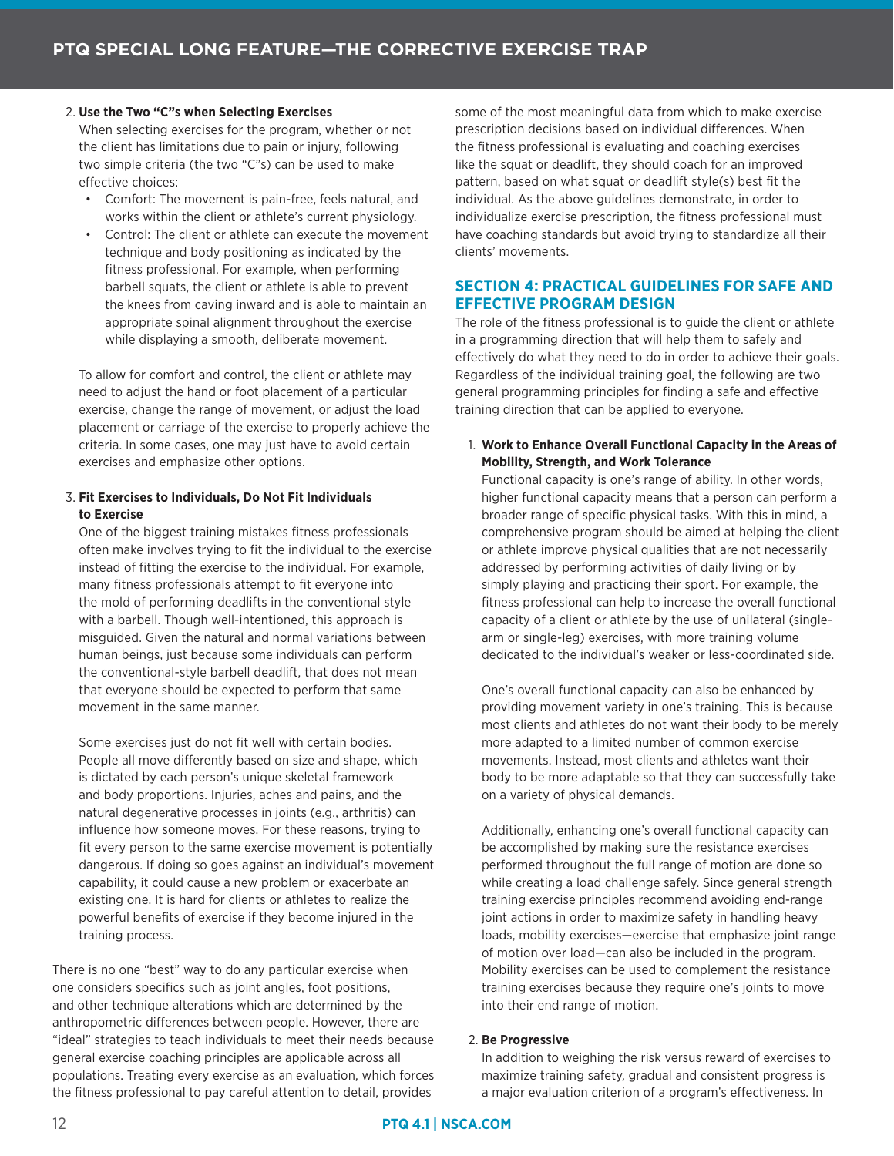# 2. **Use the Two "C"s when Selecting Exercises**

When selecting exercises for the program, whether or not the client has limitations due to pain or injury, following two simple criteria (the two "C"s) can be used to make effective choices:

- Comfort: The movement is pain-free, feels natural, and works within the client or athlete's current physiology.
- Control: The client or athlete can execute the movement technique and body positioning as indicated by the fitness professional. For example, when performing barbell squats, the client or athlete is able to prevent the knees from caving inward and is able to maintain an appropriate spinal alignment throughout the exercise while displaying a smooth, deliberate movement.

To allow for comfort and control, the client or athlete may need to adjust the hand or foot placement of a particular exercise, change the range of movement, or adjust the load placement or carriage of the exercise to properly achieve the criteria. In some cases, one may just have to avoid certain exercises and emphasize other options.

# 3. **Fit Exercises to Individuals, Do Not Fit Individuals to Exercise**

One of the biggest training mistakes fitness professionals often make involves trying to fit the individual to the exercise instead of fitting the exercise to the individual. For example, many fitness professionals attempt to fit everyone into the mold of performing deadlifts in the conventional style with a barbell. Though well-intentioned, this approach is misguided. Given the natural and normal variations between human beings, just because some individuals can perform the conventional-style barbell deadlift, that does not mean that everyone should be expected to perform that same movement in the same manner.

Some exercises just do not fit well with certain bodies. People all move differently based on size and shape, which is dictated by each person's unique skeletal framework and body proportions. Injuries, aches and pains, and the natural degenerative processes in joints (e.g., arthritis) can influence how someone moves. For these reasons, trying to fit every person to the same exercise movement is potentially dangerous. If doing so goes against an individual's movement capability, it could cause a new problem or exacerbate an existing one. It is hard for clients or athletes to realize the powerful benefits of exercise if they become injured in the training process.

There is no one "best" way to do any particular exercise when one considers specifics such as joint angles, foot positions, and other technique alterations which are determined by the anthropometric differences between people. However, there are "ideal" strategies to teach individuals to meet their needs because general exercise coaching principles are applicable across all populations. Treating every exercise as an evaluation, which forces the fitness professional to pay careful attention to detail, provides

some of the most meaningful data from which to make exercise prescription decisions based on individual differences. When the fitness professional is evaluating and coaching exercises like the squat or deadlift, they should coach for an improved pattern, based on what squat or deadlift style(s) best fit the individual. As the above guidelines demonstrate, in order to individualize exercise prescription, the fitness professional must have coaching standards but avoid trying to standardize all their clients' movements.

# **SECTION 4: PRACTICAL GUIDELINES FOR SAFE AND EFFECTIVE PROGRAM DESIGN**

The role of the fitness professional is to guide the client or athlete in a programming direction that will help them to safely and effectively do what they need to do in order to achieve their goals. Regardless of the individual training goal, the following are two general programming principles for finding a safe and effective training direction that can be applied to everyone.

1. **Work to Enhance Overall Functional Capacity in the Areas of Mobility, Strength, and Work Tolerance**

Functional capacity is one's range of ability. In other words, higher functional capacity means that a person can perform a broader range of specific physical tasks. With this in mind, a comprehensive program should be aimed at helping the client or athlete improve physical qualities that are not necessarily addressed by performing activities of daily living or by simply playing and practicing their sport. For example, the fitness professional can help to increase the overall functional capacity of a client or athlete by the use of unilateral (singlearm or single-leg) exercises, with more training volume dedicated to the individual's weaker or less-coordinated side.

One's overall functional capacity can also be enhanced by providing movement variety in one's training. This is because most clients and athletes do not want their body to be merely more adapted to a limited number of common exercise movements. Instead, most clients and athletes want their body to be more adaptable so that they can successfully take on a variety of physical demands.

Additionally, enhancing one's overall functional capacity can be accomplished by making sure the resistance exercises performed throughout the full range of motion are done so while creating a load challenge safely. Since general strength training exercise principles recommend avoiding end-range joint actions in order to maximize safety in handling heavy loads, mobility exercises—exercise that emphasize joint range of motion over load—can also be included in the program. Mobility exercises can be used to complement the resistance training exercises because they require one's joints to move into their end range of motion.

## 2. **Be Progressive**

In addition to weighing the risk versus reward of exercises to maximize training safety, gradual and consistent progress is a major evaluation criterion of a program's effectiveness. In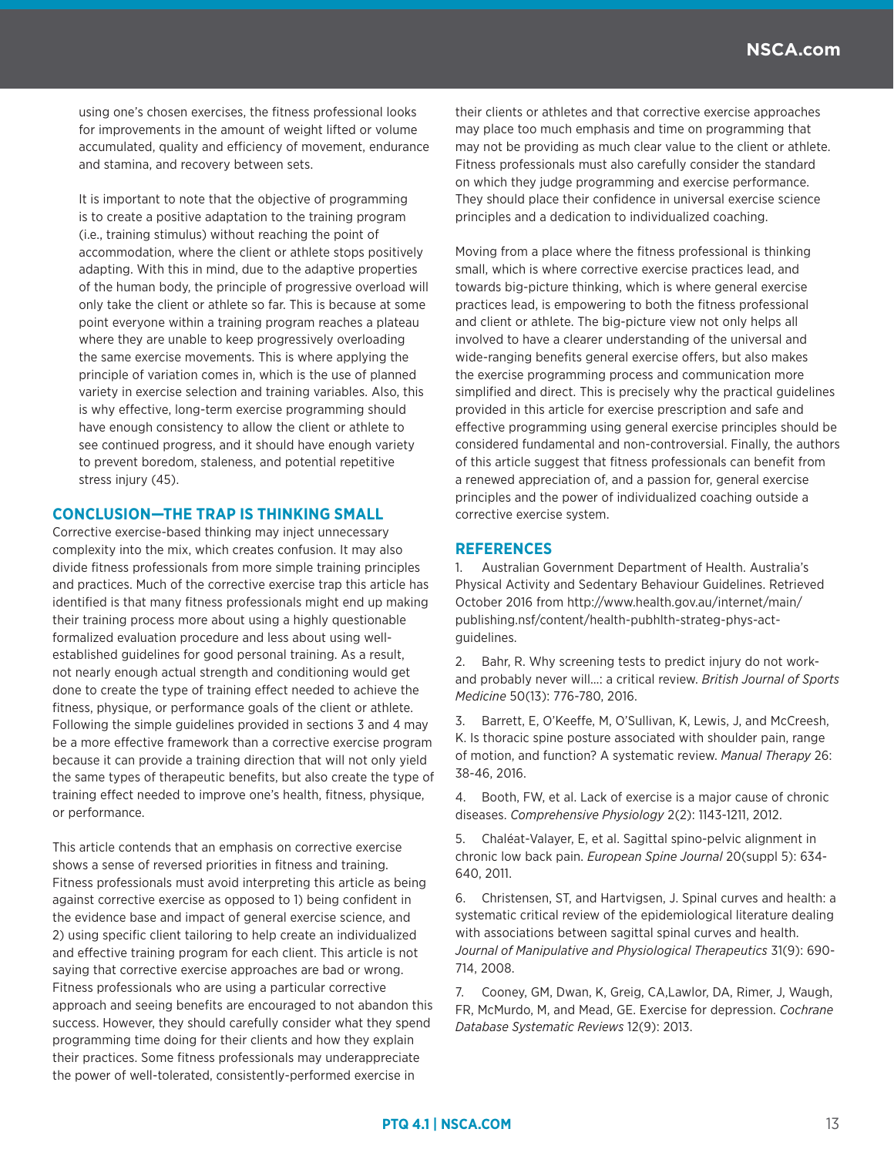using one's chosen exercises, the fitness professional looks for improvements in the amount of weight lifted or volume accumulated, quality and efficiency of movement, endurance and stamina, and recovery between sets.

It is important to note that the objective of programming is to create a positive adaptation to the training program (i.e., training stimulus) without reaching the point of accommodation, where the client or athlete stops positively adapting. With this in mind, due to the adaptive properties of the human body, the principle of progressive overload will only take the client or athlete so far. This is because at some point everyone within a training program reaches a plateau where they are unable to keep progressively overloading the same exercise movements. This is where applying the principle of variation comes in, which is the use of planned variety in exercise selection and training variables. Also, this is why effective, long-term exercise programming should have enough consistency to allow the client or athlete to see continued progress, and it should have enough variety to prevent boredom, staleness, and potential repetitive stress injury (45).

# **CONCLUSION—THE TRAP IS THINKING SMALL**

Corrective exercise-based thinking may inject unnecessary complexity into the mix, which creates confusion. It may also divide fitness professionals from more simple training principles and practices. Much of the corrective exercise trap this article has identified is that many fitness professionals might end up making their training process more about using a highly questionable formalized evaluation procedure and less about using wellestablished guidelines for good personal training. As a result, not nearly enough actual strength and conditioning would get done to create the type of training effect needed to achieve the fitness, physique, or performance goals of the client or athlete. Following the simple guidelines provided in sections 3 and 4 may be a more effective framework than a corrective exercise program because it can provide a training direction that will not only yield the same types of therapeutic benefits, but also create the type of training effect needed to improve one's health, fitness, physique, or performance.

This article contends that an emphasis on corrective exercise shows a sense of reversed priorities in fitness and training. Fitness professionals must avoid interpreting this article as being against corrective exercise as opposed to 1) being confident in the evidence base and impact of general exercise science, and 2) using specific client tailoring to help create an individualized and effective training program for each client. This article is not saying that corrective exercise approaches are bad or wrong. Fitness professionals who are using a particular corrective approach and seeing benefits are encouraged to not abandon this success. However, they should carefully consider what they spend programming time doing for their clients and how they explain their practices. Some fitness professionals may underappreciate the power of well-tolerated, consistently-performed exercise in

their clients or athletes and that corrective exercise approaches may place too much emphasis and time on programming that may not be providing as much clear value to the client or athlete. Fitness professionals must also carefully consider the standard on which they judge programming and exercise performance. They should place their confidence in universal exercise science principles and a dedication to individualized coaching.

Moving from a place where the fitness professional is thinking small, which is where corrective exercise practices lead, and towards big-picture thinking, which is where general exercise practices lead, is empowering to both the fitness professional and client or athlete. The big-picture view not only helps all involved to have a clearer understanding of the universal and wide-ranging benefits general exercise offers, but also makes the exercise programming process and communication more simplified and direct. This is precisely why the practical guidelines provided in this article for exercise prescription and safe and effective programming using general exercise principles should be considered fundamental and non-controversial. Finally, the authors of this article suggest that fitness professionals can benefit from a renewed appreciation of, and a passion for, general exercise principles and the power of individualized coaching outside a corrective exercise system.

# **REFERENCES**

1. Australian Government Department of Health. Australia's Physical Activity and Sedentary Behaviour Guidelines. Retrieved October 2016 from http://www.health.gov.au/internet/main/ publishing.nsf/content/health-pubhlth-strateg-phys-actguidelines.

2. Bahr, R. Why screening tests to predict injury do not workand probably never will…: a critical review. *British Journal of Sports Medicine* 50(13): 776-780, 2016.

3. Barrett, E, O'Keeffe, M, O'Sullivan, K, Lewis, J, and McCreesh, K. Is thoracic spine posture associated with shoulder pain, range of motion, and function? A systematic review. *Manual Therapy* 26: 38-46, 2016.

4. Booth, FW, et al. Lack of exercise is a major cause of chronic diseases. *Comprehensive Physiology* 2(2): 1143-1211, 2012.

5. Chaléat-Valayer, E, et al. Sagittal spino-pelvic alignment in chronic low back pain. *European Spine Journal* 20(suppl 5): 634- 640, 2011.

6. Christensen, ST, and Hartvigsen, J. Spinal curves and health: a systematic critical review of the epidemiological literature dealing with associations between sagittal spinal curves and health. *Journal of Manipulative and Physiological Therapeutics* 31(9): 690- 714, 2008.

7. Cooney, GM, Dwan, K, Greig, CA,Lawlor, DA, Rimer, J, Waugh, FR, McMurdo, M, and Mead, GE. Exercise for depression. *Cochrane Database Systematic Reviews* 12(9): 2013.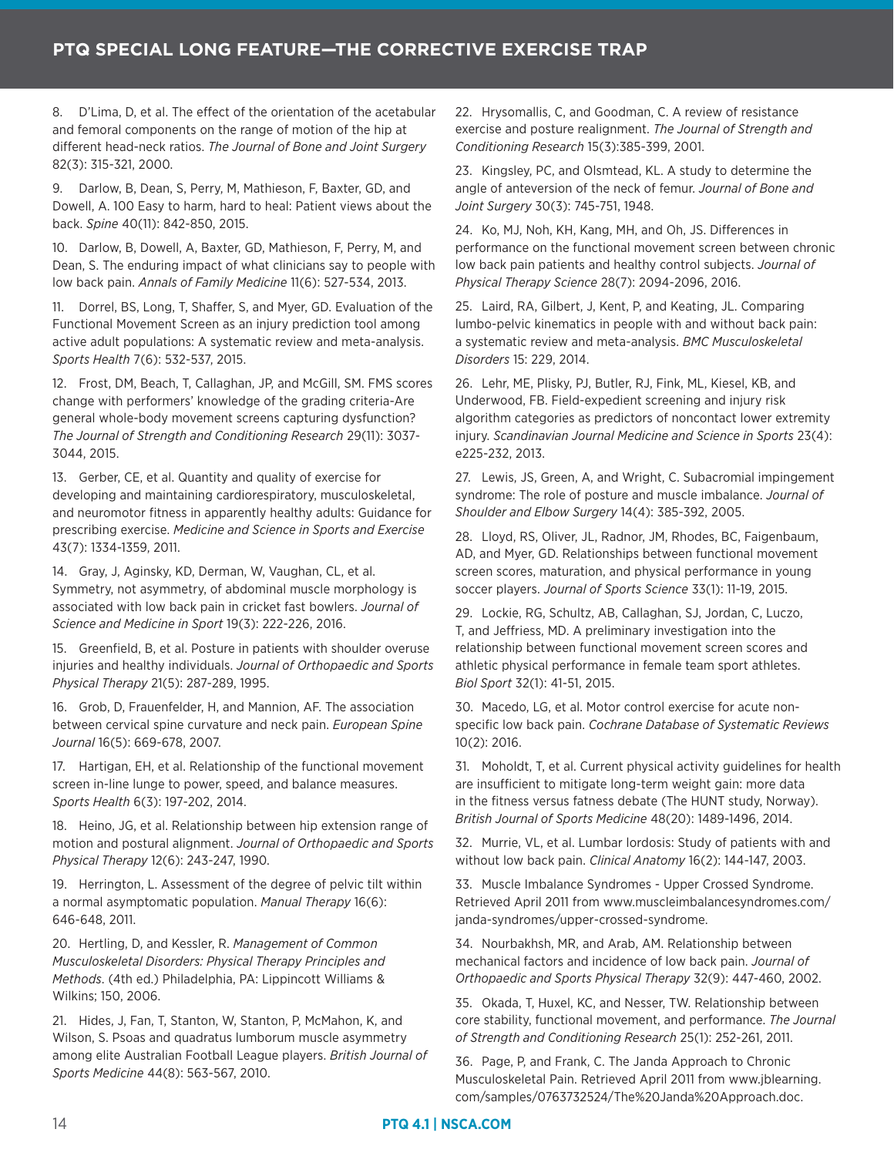8. D'Lima, D, et al. The effect of the orientation of the acetabular and femoral components on the range of motion of the hip at different head-neck ratios. *The Journal of Bone and Joint Surgery* 82(3): 315-321, 2000.

9. Darlow, B, Dean, S, Perry, M, Mathieson, F, Baxter, GD, and Dowell, A. 100 Easy to harm, hard to heal: Patient views about the back. *Spine* 40(11): 842-850, 2015.

10. Darlow, B, Dowell, A, Baxter, GD, Mathieson, F, Perry, M, and Dean, S. The enduring impact of what clinicians say to people with low back pain. *Annals of Family Medicine* 11(6): 527-534, 2013.

11. Dorrel, BS, Long, T, Shaffer, S, and Myer, GD. Evaluation of the Functional Movement Screen as an injury prediction tool among active adult populations: A systematic review and meta-analysis. *Sports Health* 7(6): 532-537, 2015.

12. Frost, DM, Beach, T, Callaghan, JP, and McGill, SM. FMS scores change with performers' knowledge of the grading criteria-Are general whole-body movement screens capturing dysfunction? *The Journal of Strength and Conditioning Research* 29(11): 3037- 3044, 2015.

13. Gerber, CE, et al. Quantity and quality of exercise for developing and maintaining cardiorespiratory, musculoskeletal, and neuromotor fitness in apparently healthy adults: Guidance for prescribing exercise. *Medicine and Science in Sports and Exercise* 43(7): 1334-1359, 2011.

14. Gray, J, Aginsky, KD, Derman, W, Vaughan, CL, et al. Symmetry, not asymmetry, of abdominal muscle morphology is associated with low back pain in cricket fast bowlers. *Journal of Science and Medicine in Sport* 19(3): 222-226, 2016.

15. Greenfield, B, et al. Posture in patients with shoulder overuse injuries and healthy individuals. *Journal of Orthopaedic and Sports Physical Therapy* 21(5): 287-289, 1995.

16. Grob, D, Frauenfelder, H, and Mannion, AF. The association between cervical spine curvature and neck pain. *European Spine Journal* 16(5): 669-678, 2007.

17. Hartigan, EH, et al. Relationship of the functional movement screen in-line lunge to power, speed, and balance measures. *Sports Health* 6(3): 197-202, 2014.

18. Heino, JG, et al. Relationship between hip extension range of motion and postural alignment. *Journal of Orthopaedic and Sports Physical Therapy* 12(6): 243-247, 1990.

19. Herrington, L. Assessment of the degree of pelvic tilt within a normal asymptomatic population. *Manual Therapy* 16(6): 646-648, 2011.

20. Hertling, D, and Kessler, R. *Management of Common Musculoskeletal Disorders: Physical Therapy Principles and Methods*. (4th ed.) Philadelphia, PA: Lippincott Williams & Wilkins; 150, 2006.

21. Hides, J, Fan, T, Stanton, W, Stanton, P, McMahon, K, and Wilson, S. Psoas and quadratus lumborum muscle asymmetry among elite Australian Football League players. *British Journal of Sports Medicine* 44(8): 563-567, 2010.

22. Hrysomallis, C, and Goodman, C. A review of resistance exercise and posture realignment. *The Journal of Strength and Conditioning Research* 15(3):385-399, 2001.

23. Kingsley, PC, and Olsmtead, KL. A study to determine the angle of anteversion of the neck of femur. *Journal of Bone and Joint Surgery* 30(3): 745-751, 1948.

24. Ko, MJ, Noh, KH, Kang, MH, and Oh, JS. Differences in performance on the functional movement screen between chronic low back pain patients and healthy control subjects. *Journal of Physical Therapy Science* 28(7): 2094-2096, 2016.

25. Laird, RA, Gilbert, J, Kent, P, and Keating, JL. Comparing lumbo-pelvic kinematics in people with and without back pain: a systematic review and meta-analysis. *BMC Musculoskeletal Disorders* 15: 229, 2014.

26. Lehr, ME, Plisky, PJ, Butler, RJ, Fink, ML, Kiesel, KB, and Underwood, FB. Field-expedient screening and injury risk algorithm categories as predictors of noncontact lower extremity injury. *Scandinavian Journal Medicine and Science in Sports* 23(4): e225-232, 2013.

27. Lewis, JS, Green, A, and Wright, C. Subacromial impingement syndrome: The role of posture and muscle imbalance. *Journal of Shoulder and Elbow Surgery* 14(4): 385-392, 2005.

28. Lloyd, RS, Oliver, JL, Radnor, JM, Rhodes, BC, Faigenbaum, AD, and Myer, GD. Relationships between functional movement screen scores, maturation, and physical performance in young soccer players. *Journal of Sports Science* 33(1): 11-19, 2015.

29. Lockie, RG, Schultz, AB, Callaghan, SJ, Jordan, C, Luczo, T, and Jeffriess, MD. A preliminary investigation into the relationship between functional movement screen scores and athletic physical performance in female team sport athletes. *Biol Sport* 32(1): 41-51, 2015.

30. Macedo, LG, et al. Motor control exercise for acute nonspecific low back pain. *Cochrane Database of Systematic Reviews* 10(2): 2016.

31. Moholdt, T, et al. Current physical activity guidelines for health are insufficient to mitigate long-term weight gain: more data in the fitness versus fatness debate (The HUNT study, Norway). *British Journal of Sports Medicine* 48(20): 1489-1496, 2014.

32. Murrie, VL, et al. Lumbar lordosis: Study of patients with and without low back pain. *Clinical Anatomy* 16(2): 144-147, 2003.

33. Muscle Imbalance Syndromes - Upper Crossed Syndrome. Retrieved April 2011 from www.muscleimbalancesyndromes.com/ janda-syndromes/upper-crossed-syndrome.

34. Nourbakhsh, MR, and Arab, AM. Relationship between mechanical factors and incidence of low back pain. *Journal of Orthopaedic and Sports Physical Therapy* 32(9): 447-460, 2002.

35. Okada, T, Huxel, KC, and Nesser, TW. Relationship between core stability, functional movement, and performance. *The Journal of Strength and Conditioning Research* 25(1): 252-261, 2011.

36. Page, P, and Frank, C. The Janda Approach to Chronic Musculoskeletal Pain. Retrieved April 2011 from www.jblearning. com/samples/0763732524/The%20Janda%20Approach.doc.